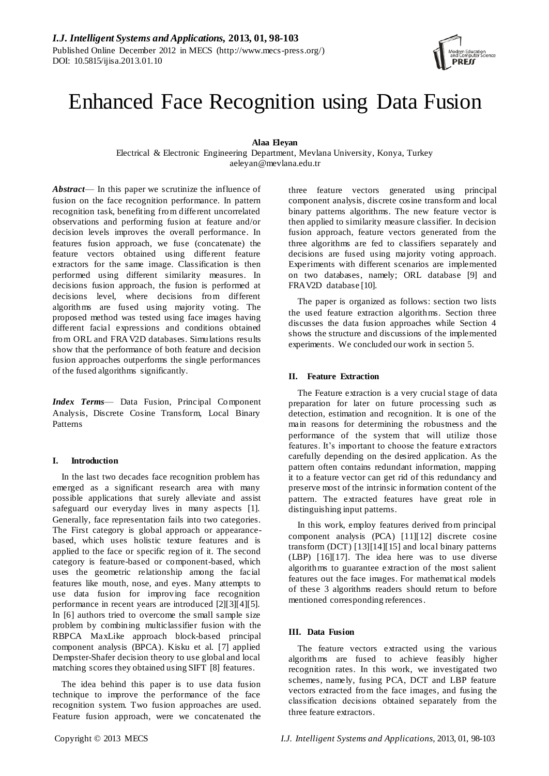# Enhanced Face Recognition using Data Fusion

# **Alaa Eleyan**

Electrical & Electronic Engineering Department, Mevlana University, Konya, Turkey aeleyan@mevlana.edu.tr

*Abstract*— In this paper we scrutinize the influence of fusion on the face recognition performance. In pattern recognition task, benefiting from different uncorrelated observations and performing fusion at feature and/or decision levels improves the overall performance. In features fusion approach, we fuse (concatenate) the feature vectors obtained using different feature extractors for the same image. Classification is then performed using different similarity measures. In decisions fusion approach, the fusion is performed at decisions level, where decisions from different algorithms are fused using majority voting. The proposed method was tested using face images having different facial expressions and conditions obtained from ORL and FRAV2D databases. Simulations results show that the performance of both feature and decision fusion approaches outperforms the single performances of the fused algorithms significantly.

*Index Terms*— Data Fusion, Principal Component Analysis, Discrete Cosine Transform, Local Binary Patterns

#### **I. Introduction**

In the last two decades face recognition problem has emerged as a significant research area with many possible applications that surely alleviate and assist safeguard our everyday lives in many aspects [1]. Generally, face representation fails into two categories. The First category is global approach or appearancebased, which uses holistic texture features and is applied to the face or specific region of it. The second category is feature-based or component-based, which uses the geometric relationship among the facial features like mouth, nose, and eyes. Many attempts to use data fusion for improving face recognition performance in recent years are introduced [2][3][4][5]. In [6] authors tried to overcome the small sample size problem by combining multiclassifier fusion with the RBPCA MaxLike approach block-based principal component analysis (BPCA). Kisku et al. [7] applied Dempster-Shafer decision theory to use global and local matching scores they obtained using SIFT [8] features.

The idea behind this paper is to use data fusion technique to improve the performance of the face recognition system. Two fusion approaches are used. Feature fusion approach, were we concatenated the

three feature vectors generated using principal component analysis, discrete cosine transform and local binary patterns algorithms. The new feature vector is then applied to similarity measure classifier. In decision fusion approach, feature vectors generated from the three algorithms are fed to classifiers separately and decisions are fused using majority voting approach. Experiments with different scenarios are implemented on two databases, namely; ORL database [9] and FRAV2D database [10].

The paper is organized as follows: section two lists the used feature extraction algorithms. Section three discusses the data fusion approaches while Section 4 shows the structure and discussions of the implemented experiments. We concluded our work in section 5.

## **II. Feature Extraction**

The Feature extraction is a very crucial stage of data preparation for later on future processing such as detection, estimation and recognition. It is one of the main reasons for determining the robustness and the performance of the system that will utilize those features. It's important to choose the feature extractors carefully depending on the desired application. As the pattern often contains redundant information, mapping it to a feature vector can get rid of this redundancy and preserve most of the intrinsic information content of the pattern. The extracted features have great role in distinguishing input patterns.

In this work, employ features derived from principal component analysis (PCA) [11][12] discrete cosine transform (DCT) [13][14][15] and local binary patterns (LBP) [16][17]. The idea here was to use diverse algorithms to guarantee extraction of the most salient features out the face images. For mathematical models of these 3 algorithms readers should return to before mentioned corresponding references.

## **III. Data Fusion**

The feature vectors extracted using the various algorithms are fused to achieve feasibly higher recognition rates. In this work, we investigated two schemes, namely, fusing PCA, DCT and LBP feature vectors extracted from the face images, and fusing the classification decisions obtained separately from the three feature extractors.

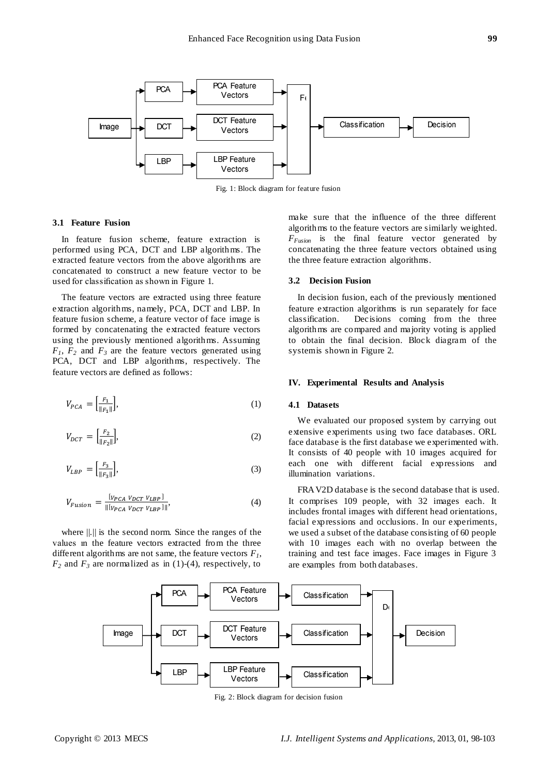

Fig. 1: Block diagram for feature fusion

## **3.1 Feature Fusion**

In feature fusion scheme, feature extraction is performed using PCA, DCT and LBP algorithms. The extracted feature vectors from the above algorithms are concatenated to construct a new feature vector to be used for classification as shown in Figure 1.

The feature vectors are extracted using three feature extraction algorithms, namely, PCA, DCT and LBP. In feature fusion scheme, a feature vector of face image is formed by concatenating the extracted feature vectors using the previously mentioned algorithms. Assuming  $F_1$ ,  $F_2$  and  $F_3$  are the feature vectors generated using PCA, DCT and LBP algorithms, respectively. The feature vectors are defined as follows:

$$
V_{PCA} = \left[\frac{F_1}{\|F_1\|}\right],\tag{1}
$$

$$
V_{DCT} = \left[\frac{F_2}{\|F_2\|}\right],\tag{2}
$$

$$
V_{LBP} = \left[\frac{F_3}{\|F_3\|}\right],\tag{3}
$$

$$
V_{Fusion} = \frac{[v_{PCA} v_{DCT} v_{LBP}]}{\| [v_{PCA} v_{DCT} v_{LBP}] \|},
$$
\n(4)

where ||.|| is the second norm. Since the ranges of the values ın the feature vectors extracted from the three different algorithms are not same, the feature vectors  $F_I$ ,  $F_2$  and  $F_3$  are normalized as in (1)-(4), respectively, to

make sure that the influence of the three different algorithms to the feature vectors are similarly weighted. *FFusion* is the final feature vector generated by concatenating the three feature vectors obtained using the three feature extraction algorithms.

# **3.2 Decision Fusion**

In decision fusion, each of the previously mentioned feature extraction algorithms is run separately for face classification. Decisions coming from the three algorithms are compared and majority voting is applied to obtain the final decision. Block diagram of the system is shown in Figure 2.

## **IV. Experimental Results and Analysis**

## **4.1 Datasets**

We evaluated our proposed system by carrying out extensive experiments using two face databases. ORL face database is the first database we experimented with. It consists of 40 people with 10 images acquired for each one with different facial expressions and illumination variations.

FRAV2D database is the second database that is used. It comprises 109 people, with 32 images each. It includes frontal images with different head orientations, facial expressions and occlusions. In our experiments, we used a subset of the database consisting of 60 people with 10 images each with no overlap between the training and test face images. Face images in Figure 3 are examples from both databases.



Fig. 2: Block diagram for decision fusion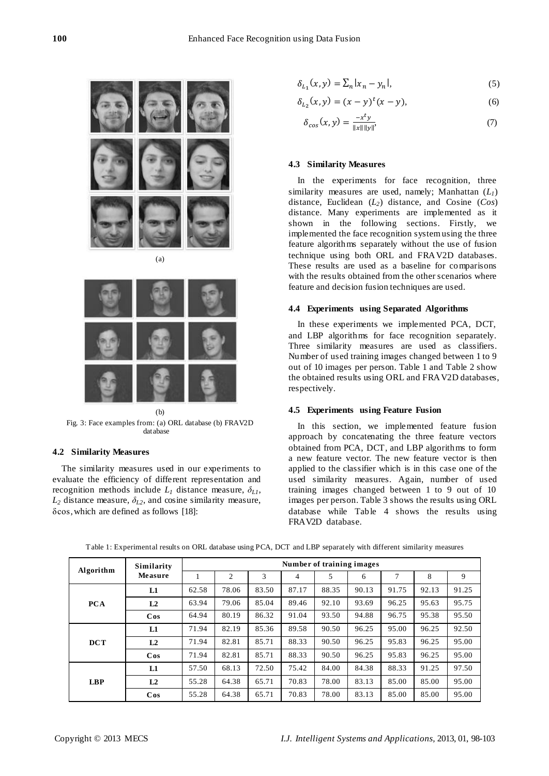

(b) Fig. 3: Face examples from: (a) ORL database (b) FRAV2D database

## **4.2 Similarity Measures**

The similarity measures used in our experiments to evaluate the efficiency of different representation and recognition methods include  $L_I$  distance measure,  $\delta_{L_I}$ ,  $L_2$  distance measure,  $\delta_{L2}$ , and cosine similarity measure, δcos, which are defined as follows [18]:

$$
\delta_{L_1}(x, y) = \sum_n |x_n - y_n|,\tag{5}
$$

$$
\delta_{L_2}(x, y) = (x - y)^t (x - y),
$$
\n(6)

$$
\delta_{\cos}(x, y) = \frac{-x^t y}{\|x\| \|y\|} \tag{7}
$$

# **4.3 Similarity Measures**

In the experiments for face recognition, three similarity measures are used, namely; Manhattan (*L1*) distance, Euclidean (*L2*) distance, and Cosine (*Cos*) distance. Many experiments are implemented as it shown in the following sections. Firstly, we implemented the face recognition system using the three feature algorithms separately without the use of fusion technique using both ORL and FRAV2D databases. These results are used as a baseline for comparisons with the results obtained from the other scenarios where feature and decision fusion techniques are used.

## **4.4 Experiments using Separated Algorithms**

In these experiments we implemented PCA, DCT, and LBP algorithms for face recognition separately. Three similarity measures are used as classifiers. Number of used training images changed between 1 to 9 out of 10 images per person. Table 1 and Table 2 show the obtained results using ORL and FRAV2D databases, respectively.

## **4.5 Experiments using Feature Fusion**

In this section, we implemented feature fusion approach by concatenating the three feature vectors obtained from PCA, DCT, and LBP algorithms to form a new feature vector. The new feature vector is then applied to the classifier which is in this case one of the used similarity measures. Again, number of used training images changed between 1 to 9 out of 10 images per person. Table 3 shows the results using ORL database while Table 4 shows the results using FRAV2D database.

| Algorithm<br><b>PCA</b> | Similarity     | Number of training images |       |       |       |       |       |       |       |       |
|-------------------------|----------------|---------------------------|-------|-------|-------|-------|-------|-------|-------|-------|
|                         | Measure        |                           | 2     | 3     | 4     | 5     | 6     | 7     | 8     | 9     |
|                         | L1             | 62.58                     | 78.06 | 83.50 | 87.17 | 88.35 | 90.13 | 91.75 | 92.13 | 91.25 |
|                         | L2             | 63.94                     | 79.06 | 85.04 | 89.46 | 92.10 | 93.69 | 96.25 | 95.63 | 95.75 |
|                         | $\cos$         | 64.94                     | 80.19 | 86.32 | 91.04 | 93.50 | 94.88 | 96.75 | 95.38 | 95.50 |
|                         | L1             | 71.94                     | 82.19 | 85.36 | 89.58 | 90.50 | 96.25 | 95.00 | 96.25 | 92.50 |
| <b>DCT</b>              | L <sub>2</sub> | 71.94                     | 82.81 | 85.71 | 88.33 | 90.50 | 96.25 | 95.83 | 96.25 | 95.00 |
|                         | $\cos$         | 71.94                     | 82.81 | 85.71 | 88.33 | 90.50 | 96.25 | 95.83 | 96.25 | 95.00 |
| LBP                     | L1             | 57.50                     | 68.13 | 72.50 | 75.42 | 84.00 | 84.38 | 88.33 | 91.25 | 97.50 |
|                         | L2             | 55.28                     | 64.38 | 65.71 | 70.83 | 78.00 | 83.13 | 85.00 | 85.00 | 95.00 |
|                         | $\cos$         | 55.28                     | 64.38 | 65.71 | 70.83 | 78.00 | 83.13 | 85.00 | 85.00 | 95.00 |

Table 1: Experimental results on ORL database using PCA, DCT and LBP separately with different similarity measures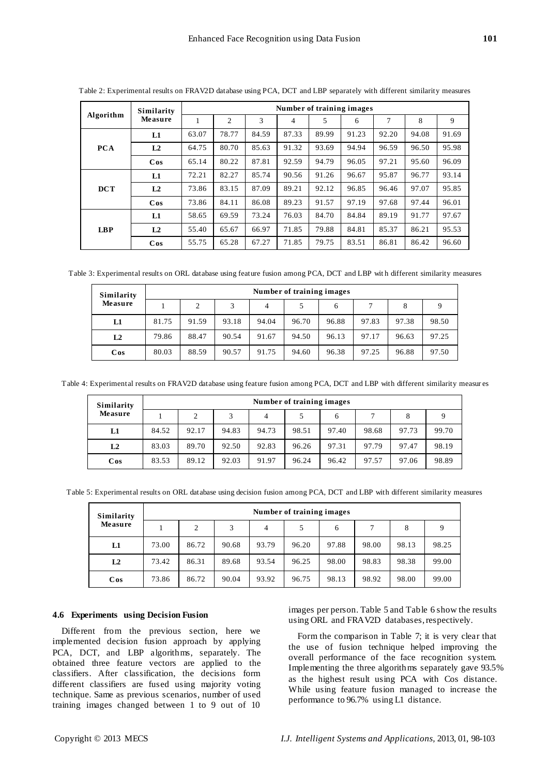| Algorithm  | Similarity     | Number of training images |                |       |       |       |       |       |       |       |
|------------|----------------|---------------------------|----------------|-------|-------|-------|-------|-------|-------|-------|
|            | Measure        | 1                         | $\overline{2}$ | 3     | 4     | 5     | 6     | 7     | 8     | 9     |
|            | L1             | 63.07                     | 78.77          | 84.59 | 87.33 | 89.99 | 91.23 | 92.20 | 94.08 | 91.69 |
| <b>PCA</b> | L <sub>2</sub> | 64.75                     | 80.70          | 85.63 | 91.32 | 93.69 | 94.94 | 96.59 | 96.50 | 95.98 |
|            | $\cos$         | 65.14                     | 80.22          | 87.81 | 92.59 | 94.79 | 96.05 | 97.21 | 95.60 | 96.09 |
|            | L1             | 72.21                     | 82.27          | 85.74 | 90.56 | 91.26 | 96.67 | 95.87 | 96.77 | 93.14 |
| <b>DCT</b> | L <sub>2</sub> | 73.86                     | 83.15          | 87.09 | 89.21 | 92.12 | 96.85 | 96.46 | 97.07 | 95.85 |
|            | $\cos$         | 73.86                     | 84.11          | 86.08 | 89.23 | 91.57 | 97.19 | 97.68 | 97.44 | 96.01 |
| <b>LBP</b> | L1             | 58.65                     | 69.59          | 73.24 | 76.03 | 84.70 | 84.84 | 89.19 | 91.77 | 97.67 |
|            | L <sub>2</sub> | 55.40                     | 65.67          | 66.97 | 71.85 | 79.88 | 84.81 | 85.37 | 86.21 | 95.53 |
|            | $\cos$         | 55.75                     | 65.28          | 67.27 | 71.85 | 79.75 | 83.51 | 86.81 | 86.42 | 96.60 |

Table 2: Experimental results on FRAV2D database using PCA, DCT and LBP separately with different similarity measures

Table 3: Experimental results on ORL database using feature fusion among PCA, DCT and LBP wit h different similarity measures

| Similarity<br>Measure | Number of training images |       |       |       |       |       |       |       |       |  |  |
|-----------------------|---------------------------|-------|-------|-------|-------|-------|-------|-------|-------|--|--|
|                       |                           | 2     | 3     | 4     |       | 6     | 7     | 8     |       |  |  |
| L1                    | 81.75                     | 91.59 | 93.18 | 94.04 | 96.70 | 96.88 | 97.83 | 97.38 | 98.50 |  |  |
| L <sub>2</sub>        | 79.86                     | 88.47 | 90.54 | 91.67 | 94.50 | 96.13 | 97.17 | 96.63 | 97.25 |  |  |
| $\cos$                | 80.03                     | 88.59 | 90.57 | 91.75 | 94.60 | 96.38 | 97.25 | 96.88 | 97.50 |  |  |

Table 4: Experimental results on FRAV2D database using feature fusion among PCA, DCT and LBP with different similarity measur es

| Similarity<br>Measure | Number of training images |       |       |       |       |       |       |       |       |  |  |
|-----------------------|---------------------------|-------|-------|-------|-------|-------|-------|-------|-------|--|--|
|                       |                           | 2     | 3     | 4     |       | 6     |       | 8     |       |  |  |
| L1                    | 84.52                     | 92.17 | 94.83 | 94.73 | 98.51 | 97.40 | 98.68 | 97.73 | 99.70 |  |  |
| L2                    | 83.03                     | 89.70 | 92.50 | 92.83 | 96.26 | 97.31 | 97.79 | 97.47 | 98.19 |  |  |
| $\cos$                | 83.53                     | 89.12 | 92.03 | 91.97 | 96.24 | 96.42 | 97.57 | 97.06 | 98.89 |  |  |

Table 5: Experimental results on ORL database using decision fusion among PCA, DCT and LBP with different similarity measures

| Similarity<br>Measure | Number of training images |       |       |       |       |       |       |       |       |  |  |
|-----------------------|---------------------------|-------|-------|-------|-------|-------|-------|-------|-------|--|--|
|                       |                           | 2     | 3     | 4     | 5     | 6     | 7     | 8     | Q     |  |  |
| L1                    | 73.00                     | 86.72 | 90.68 | 93.79 | 96.20 | 97.88 | 98.00 | 98.13 | 98.25 |  |  |
| L2                    | 73.42                     | 86.31 | 89.68 | 93.54 | 96.25 | 98.00 | 98.83 | 98.38 | 99.00 |  |  |
| $\cos$                | 73.86                     | 86.72 | 90.04 | 93.92 | 96.75 | 98.13 | 98.92 | 98.00 | 99.00 |  |  |

#### **4.6 Experiments using Decision Fusion**

Different from the previous section, here we implemented decision fusion approach by applying PCA, DCT, and LBP algorithms, separately. The obtained three feature vectors are applied to the classifiers. After classification, the decisions form different classifiers are fused using majority voting technique. Same as previous scenarios, number of used training images changed between 1 to 9 out of 10

images per person. Table 5 and Table 6 show the results using ORL and FRAV2D databases, respectively.

Form the comparison in Table 7; it is very clear that the use of fusion technique helped improving the overall performance of the face recognition system. Implementing the three algorithms separately gave 93.5% as the highest result using PCA with Cos distance. While using feature fusion managed to increase the performance to 96.7% using L1 distance.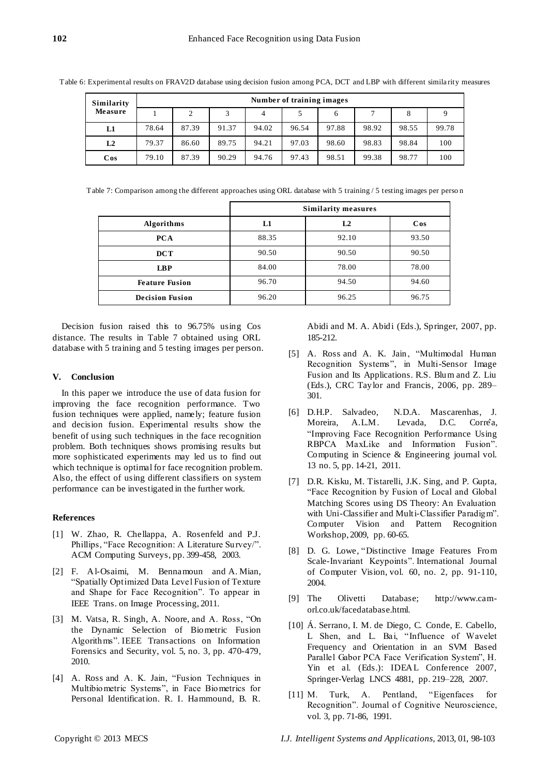Table 6: Experimental results on FRAV2D database using decision fusion among PCA, DCT and LBP with different simila rity measures

| Similarity<br><b>Measure</b> | Number of training images |       |       |       |       |       |       |       |       |  |  |
|------------------------------|---------------------------|-------|-------|-------|-------|-------|-------|-------|-------|--|--|
|                              |                           | 2     |       | 4     |       | 6     |       | 8     |       |  |  |
| L1                           | 78.64                     | 87.39 | 91.37 | 94.02 | 96.54 | 97.88 | 98.92 | 98.55 | 99.78 |  |  |
| L2                           | 79.37                     | 86.60 | 89.75 | 94.21 | 97.03 | 98.60 | 98.83 | 98.84 | 100   |  |  |
| $\cos$                       | 79.10                     | 87.39 | 90.29 | 94.76 | 97.43 | 98.51 | 99.38 | 98.77 | 100   |  |  |

Table 7: Comparison among the different approaches using ORL database with 5 training / 5 testing images per perso n

|                        | <b>Similarity measures</b> |                |        |  |  |  |  |
|------------------------|----------------------------|----------------|--------|--|--|--|--|
| <b>Algorithms</b>      | L1                         | L <sub>2</sub> | $\cos$ |  |  |  |  |
| <b>PCA</b>             | 88.35                      | 92.10          | 93.50  |  |  |  |  |
| $_{\rm DCT}$           | 90.50                      | 90.50          | 90.50  |  |  |  |  |
| <b>LBP</b>             | 84.00                      | 78.00          | 78.00  |  |  |  |  |
| <b>Feature Fusion</b>  | 96.70                      | 94.50          | 94.60  |  |  |  |  |
| <b>Decision Fusion</b> | 96.20                      | 96.25          | 96.75  |  |  |  |  |

Decision fusion raised this to 96.75% using Cos distance. The results in Table 7 obtained using ORL database with 5 training and 5 testing images per person.

## **V. Conclusion**

In this paper we introduce the use of data fusion for improving the face recognition performance. Two fusion techniques were applied, namely; feature fusion and decision fusion. Experimental results show the benefit of using such techniques in the face recognition problem. Both techniques shows promising results but more sophisticated experiments may led us to find out which technique is optimal for face recognition problem. Also, the effect of using different classifiers on system performance can be investigated in the further work.

## **References**

- [1] W. Zhao, R. Chellappa, A. Rosenfeld and P.J. Phillips, "Face Recognition: A Literature Survey/". ACM Computing Surveys, pp. 399-458, 2003.
- [2] F. Al-Osaimi, M. Bennamoun and A. Mian, ―Spatially Optimized Data Level Fusion of Texture and Shape for Face Recognition". To appear in IEEE Trans. on Image Processing, 2011.
- [3] M. Vatsa, R. Singh, A. Noore, and A. Ross, "On the Dynamic Selection of Biometric Fusion Algorithms‖. IEEE Transactions on Information Forensics and Security, vol. 5, no. 3, pp. 470-479, 2010.
- [4] A. Ross and A. K. Jain, "Fusion Techniques in Multibiometric Systems", in Face Biometrics for Personal Identification. R. I. Hammound, B. R.

Abidi and M. A. Abidi (Eds.), Springer, 2007, pp. 185-212.

- [5] A. Ross and A. K. Jain, "Multimodal Human Recognition Systems", in Multi-Sensor Image Fusion and Its Applications. R.S. Blum and Z. Liu (Eds.), CRC Taylor and Francis, 2006, pp. 289– 301.
- [6] D.H.P. Salvadeo, N.D.A. Mascarenhas, J. Moreira, A.L.M. Levada, D.C. Corre<sup>a</sup>, ―Improving Face Recognition Performance Using RBPCA MaxLike and Information Fusion". [Computing in Science & Engineering](http://www.computer.org/cise/) journal vol. 13 no. 5, pp. 14-21, 2011.
- [7] D.R. Kisku, M. Tistarelli, J.K. Sing, and P. Gupta, ―Face Recognition by Fusion of Local and Global Matching Scores using DS Theory: An Evaluation with Uni-Classifier and Multi-Classifier Paradigm". Computer Vision and Pattern Recognition Workshop, 2009, pp. 60-65.
- [8] D. G. Lowe, "Distinctive Image Features From Scale-Invariant Keypoints". International Journal of Computer Vision, vol. 60, no. 2, pp. 91-110, 2004.
- [9] The Olivetti Database; http://www.camorl.co.uk/facedatabase.html.
- [10] Á. Serrano, I. M. de Diego, C. Conde, E. Cabello, L Shen, and L. Bai, "Influence of Wavelet Frequency and Orientation in an SVM Based Parallel Gabor PCA Face Verification System", H. Yin et al. (Eds.): IDEAL Conference 2007, Springer-Verlag LNCS 4881, pp. 219–228, 2007.
- [11] M. Turk, A. Pentland, "Eigenfaces for Recognition". Journal of Cognitive Neuroscience, vol. 3, pp. 71-86, 1991.